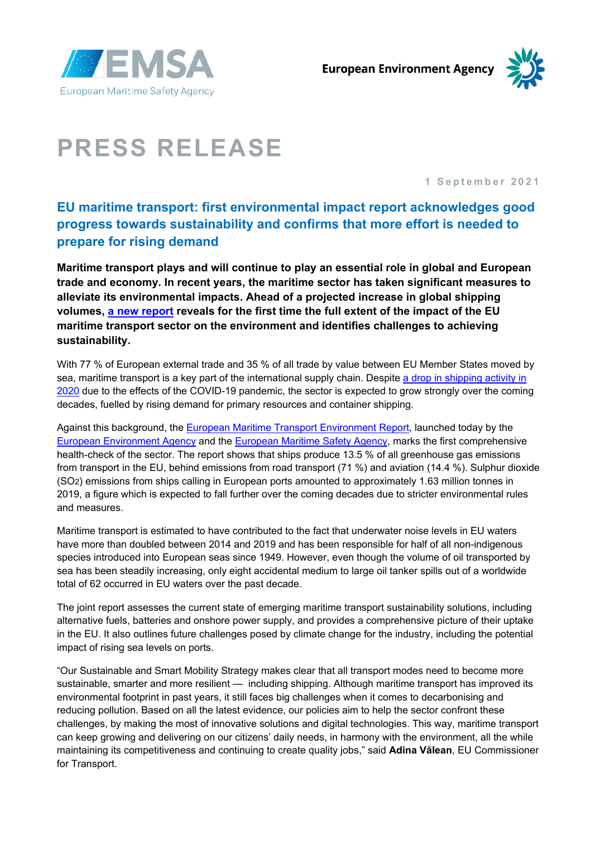



# **PRESS RELEASE**

**1 September 2021**

# **EU maritime transport: first environmental impact report acknowledges good progress towards sustainability and confirms that more effort is needed to prepare for rising demand**

**Maritime transport plays and will continue to play an essential role in global and European trade and economy. In recent years, the maritime sector has taken significant measures to alleviate its environmental impacts. Ahead of a projected increase in global shipping volumes, [a new report](http://emsa.europa.eu/emter.html) reveals for the first time the full extent of the impact of the EU maritime transport sector on the environment and identifies challenges to achieving sustainability.**

With 77 % of European external trade and 35 % of all trade by value between EU Member States moved by sea, maritime transport is a key part of the international supply chain. Despite [a drop in shipping activity in](http://www.emsa.europa.eu/COVID19)  [2020](http://www.emsa.europa.eu/COVID19) due to the effects of the COVID-19 pandemic, the sector is expected to grow strongly over the coming decades, fuelled by rising demand for primary resources and container shipping.

Against this background, the [European Maritime Transport Environment Report,](http://emsa.europa.eu/emter.html) launched today by the [European Environment Agency](https://www.eea.europa.eu/) and the [European Maritime Safety Agency,](http://www.emsa.europa.eu/) marks the first comprehensive health-check of the sector. The report shows that ships produce 13.5 % of all greenhouse gas emissions from transport in the EU, behind emissions from road transport (71 %) and aviation (14.4 %). Sulphur dioxide (SO2) emissions from ships calling in European ports amounted to approximately 1.63 million tonnes in 2019, a figure which is expected to fall further over the coming decades due to stricter environmental rules and measures.

Maritime transport is estimated to have contributed to the fact that underwater noise levels in EU waters have more than doubled between 2014 and 2019 and has been responsible for half of all non-indigenous species introduced into European seas since 1949. However, even though the volume of oil transported by sea has been steadily increasing, only eight accidental medium to large oil tanker spills out of a worldwide total of 62 occurred in EU waters over the past decade.

The joint report assesses the current state of emerging maritime transport sustainability solutions, including alternative fuels, batteries and onshore power supply, and provides a comprehensive picture of their uptake in the EU. It also outlines future challenges posed by climate change for the industry, including the potential impact of rising sea levels on ports.

"Our Sustainable and Smart Mobility Strategy makes clear that all transport modes need to become more sustainable, smarter and more resilient — including shipping. Although maritime transport has improved its environmental footprint in past years, it still faces big challenges when it comes to decarbonising and reducing pollution. Based on all the latest evidence, our policies aim to help the sector confront these challenges, by making the most of innovative solutions and digital technologies. This way, maritime transport can keep growing and delivering on our citizens' daily needs, in harmony with the environment, all the while maintaining its competitiveness and continuing to create quality jobs," said **Adina Vălean**, EU Commissioner for Transport.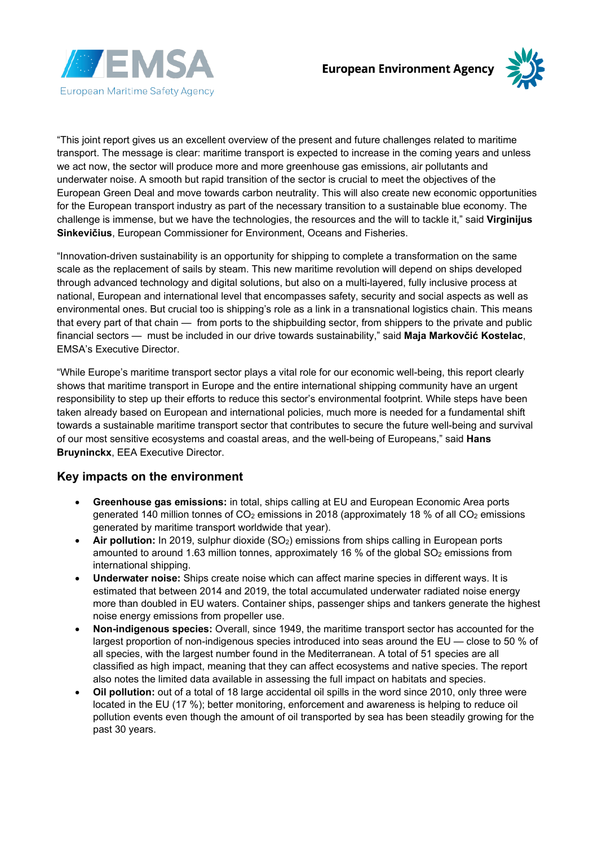



"This joint report gives us an excellent overview of the present and future challenges related to maritime transport. The message is clear: maritime transport is expected to increase in the coming years and unless we act now, the sector will produce more and more greenhouse gas emissions, air pollutants and underwater noise. A smooth but rapid transition of the sector is crucial to meet the objectives of the European Green Deal and move towards carbon neutrality. This will also create new economic opportunities for the European transport industry as part of the necessary transition to a sustainable blue economy. The challenge is immense, but we have the technologies, the resources and the will to tackle it," said **Virginijus Sinkevičius**, European Commissioner for Environment, Oceans and Fisheries.

"Innovation-driven sustainability is an opportunity for shipping to complete a transformation on the same scale as the replacement of sails by steam. This new maritime revolution will depend on ships developed through advanced technology and digital solutions, but also on a multi-layered, fully inclusive process at national, European and international level that encompasses safety, security and social aspects as well as environmental ones. But crucial too is shipping's role as a link in a transnational logistics chain. This means that every part of that chain — from ports to the shipbuilding sector, from shippers to the private and public financial sectors — must be included in our drive towards sustainability," said **Maja Markovčić Kostelac**, EMSA's Executive Director.

"While Europe's maritime transport sector plays a vital role for our economic well-being, this report clearly shows that maritime transport in Europe and the entire international shipping community have an urgent responsibility to step up their efforts to reduce this sector's environmental footprint. While steps have been taken already based on European and international policies, much more is needed for a fundamental shift towards a sustainable maritime transport sector that contributes to secure the future well-being and survival of our most sensitive ecosystems and coastal areas, and the well-being of Europeans," said **Hans Bruyninckx**, EEA Executive Director.

### **Key impacts on the environment**

- **Greenhouse gas emissions:** in total, ships calling at EU and European Economic Area ports generated 140 million tonnes of  $CO<sub>2</sub>$  emissions in 2018 (approximately 18 % of all  $CO<sub>2</sub>$  emissions generated by maritime transport worldwide that year).
- Air pollution: In 2019, sulphur dioxide (SO<sub>2</sub>) emissions from ships calling in European ports amounted to around 1.63 million tonnes, approximately 16 % of the global  $SO<sub>2</sub>$  emissions from international shipping.
- **Underwater noise:** Ships create noise which can affect marine species in different ways. It is estimated that between 2014 and 2019, the total accumulated underwater radiated noise energy more than doubled in EU waters. Container ships, passenger ships and tankers generate the highest noise energy emissions from propeller use.
- **Non-indigenous species:** Overall, since 1949, the maritime transport sector has accounted for the largest proportion of non-indigenous species introduced into seas around the EU — close to 50 % of all species, with the largest number found in the Mediterranean. A total of 51 species are all classified as high impact, meaning that they can affect ecosystems and native species. The report also notes the limited data available in assessing the full impact on habitats and species.
- **Oil pollution:** out of a total of 18 large accidental oil spills in the word since 2010, only three were located in the EU (17 %); better monitoring, enforcement and awareness is helping to reduce oil pollution events even though the amount of oil transported by sea has been steadily growing for the past 30 years.